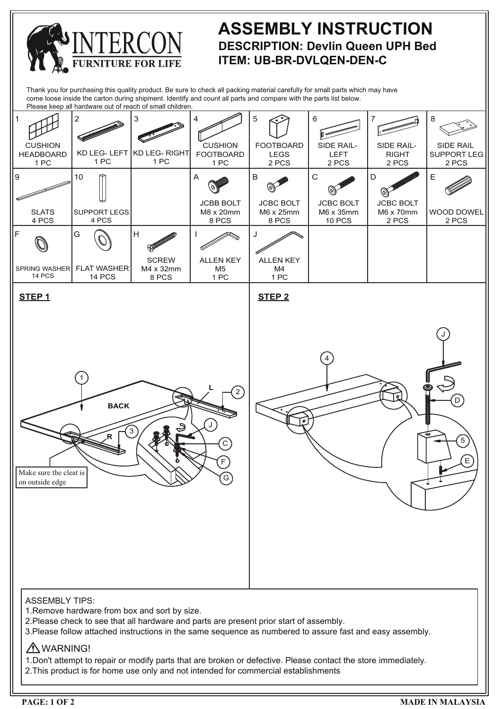